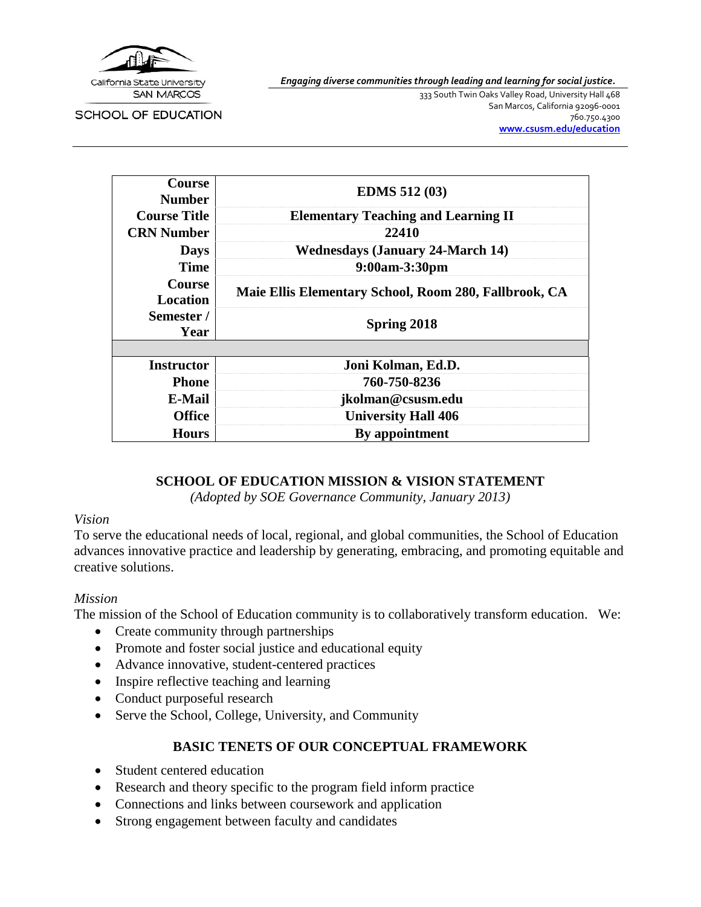

*Engaging diverse communities through leading and learning for social justice.*

SCHOOL OF EDUCATION

333 South Twin Oaks Valley Road, University Hall 468 San Marcos, California 92096-0001 760.750.4300 **[www.csusm.edu/education](http://www.csusm.edu/education)**

| <b>Course</b><br><b>Number</b>   | <b>EDMS</b> 512 (03)                                  |  |  |
|----------------------------------|-------------------------------------------------------|--|--|
| <b>Course Title</b>              | <b>Elementary Teaching and Learning II</b>            |  |  |
| <b>CRN Number</b>                | 22410                                                 |  |  |
| <b>Days</b>                      | <b>Wednesdays (January 24-March 14)</b>               |  |  |
| <b>Time</b>                      | 9:00am-3:30pm                                         |  |  |
| <b>Course</b><br><b>Location</b> | Maie Ellis Elementary School, Room 280, Fallbrook, CA |  |  |
| Semester /<br>Year               | <b>Spring 2018</b>                                    |  |  |
|                                  |                                                       |  |  |
| <b>Instructor</b>                | Joni Kolman, Ed.D.                                    |  |  |
| <b>Phone</b>                     | 760-750-8236                                          |  |  |
| E-Mail                           | jkolman@csusm.edu                                     |  |  |
| <b>Office</b>                    | <b>University Hall 406</b>                            |  |  |
| <b>Hours</b>                     | By appointment                                        |  |  |
|                                  |                                                       |  |  |

#### **SCHOOL OF EDUCATION MISSION & VISION STATEMENT**

*(Adopted by SOE Governance Community, January 2013)*

### *Vision*

To serve the educational needs of local, regional, and global communities, the School of Education advances innovative practice and leadership by generating, embracing, and promoting equitable and creative solutions.

### *Mission*

The mission of the School of Education community is to collaboratively transform education. We:

- Create community through partnerships
- Promote and foster social justice and educational equity
- Advance innovative, student-centered practices
- Inspire reflective teaching and learning
- Conduct purposeful research
- Serve the School, College, University, and Community

### **BASIC TENETS OF OUR CONCEPTUAL FRAMEWORK**

- Student centered education
- Research and theory specific to the program field inform practice
- Connections and links between coursework and application
- Strong engagement between faculty and candidates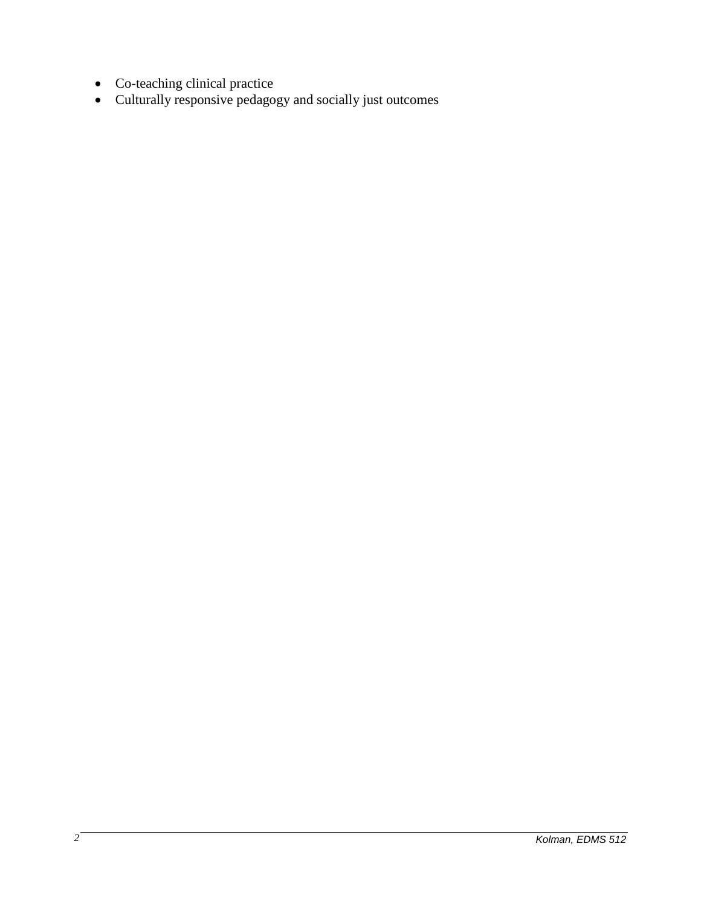- Co-teaching clinical practice
- Culturally responsive pedagogy and socially just outcomes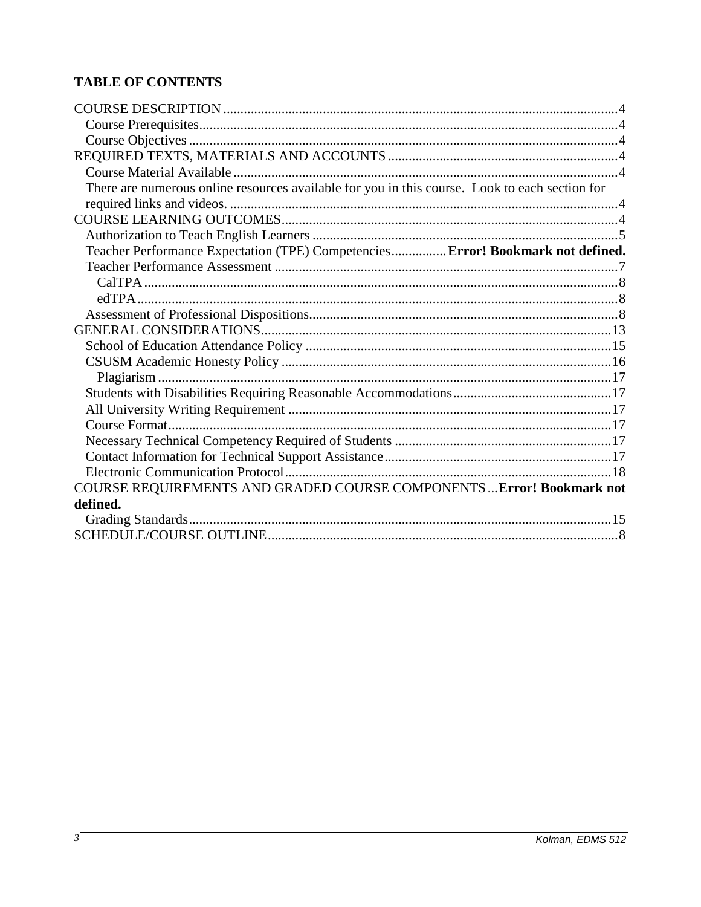# **TABLE OF CONTENTS**

| There are numerous online resources available for you in this course. Look to each section for |  |
|------------------------------------------------------------------------------------------------|--|
|                                                                                                |  |
|                                                                                                |  |
|                                                                                                |  |
| Teacher Performance Expectation (TPE) Competencies Error! Bookmark not defined.                |  |
|                                                                                                |  |
|                                                                                                |  |
|                                                                                                |  |
|                                                                                                |  |
|                                                                                                |  |
|                                                                                                |  |
|                                                                                                |  |
|                                                                                                |  |
|                                                                                                |  |
|                                                                                                |  |
|                                                                                                |  |
|                                                                                                |  |
|                                                                                                |  |
|                                                                                                |  |
| COURSE REQUIREMENTS AND GRADED COURSE COMPONENTS  Error! Bookmark not                          |  |
| defined.                                                                                       |  |
|                                                                                                |  |
|                                                                                                |  |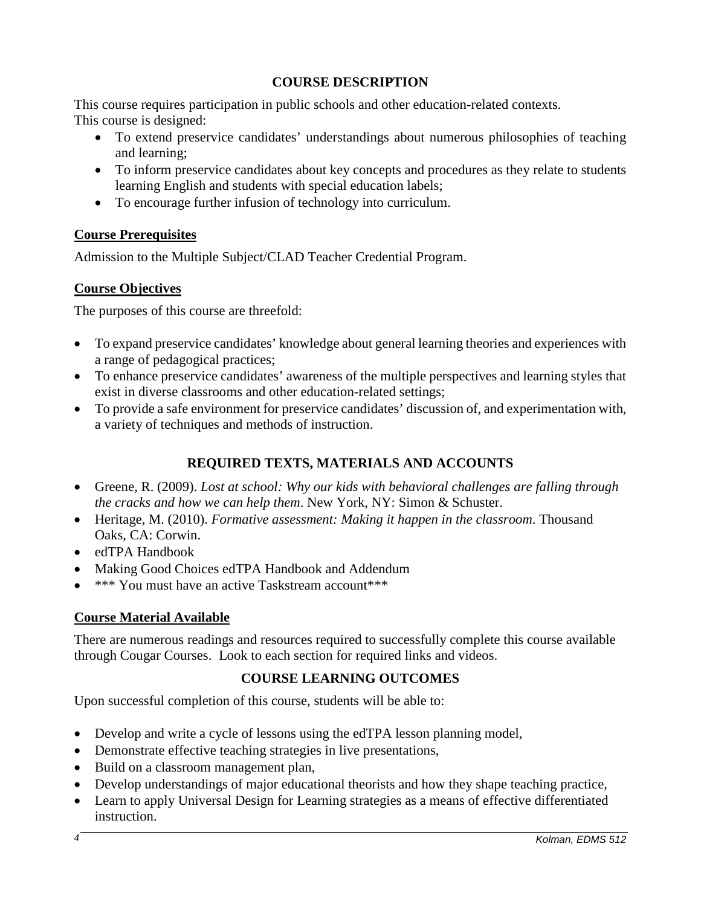# **COURSE DESCRIPTION**

This course requires participation in public schools and other education-related contexts. This course is designed:

- To extend preservice candidates' understandings about numerous philosophies of teaching and learning;
- To inform preservice candidates about key concepts and procedures as they relate to students learning English and students with special education labels;
- To encourage further infusion of technology into curriculum.

## **Course Prerequisites**

Admission to the Multiple Subject/CLAD Teacher Credential Program.

## **Course Objectives**

The purposes of this course are threefold:

- To expand preservice candidates' knowledge about general learning theories and experiences with a range of pedagogical practices;
- To enhance preservice candidates' awareness of the multiple perspectives and learning styles that exist in diverse classrooms and other education-related settings;
- To provide a safe environment for preservice candidates' discussion of, and experimentation with, a variety of techniques and methods of instruction.

# **REQUIRED TEXTS, MATERIALS AND ACCOUNTS**

- Greene, R. (2009). *Lost at school: Why our kids with behavioral challenges are falling through the cracks and how we can help them*. New York, NY: Simon & Schuster.
- Heritage, M. (2010). *Formative assessment: Making it happen in the classroom*. Thousand Oaks, CA: Corwin.
- edTPA Handbook
- Making Good Choices edTPA Handbook and Addendum
- \*\*\* You must have an active Taskstream account\*\*\*

# **Course Material Available**

There are numerous readings and resources required to successfully complete this course available through Cougar Courses. Look to each section for required links and videos.

# **COURSE LEARNING OUTCOMES**

Upon successful completion of this course, students will be able to:

- Develop and write a cycle of lessons using the edTPA lesson planning model,
- Demonstrate effective teaching strategies in live presentations,
- Build on a classroom management plan,
- Develop understandings of major educational theorists and how they shape teaching practice,
- Learn to apply Universal Design for Learning strategies as a means of effective differentiated instruction.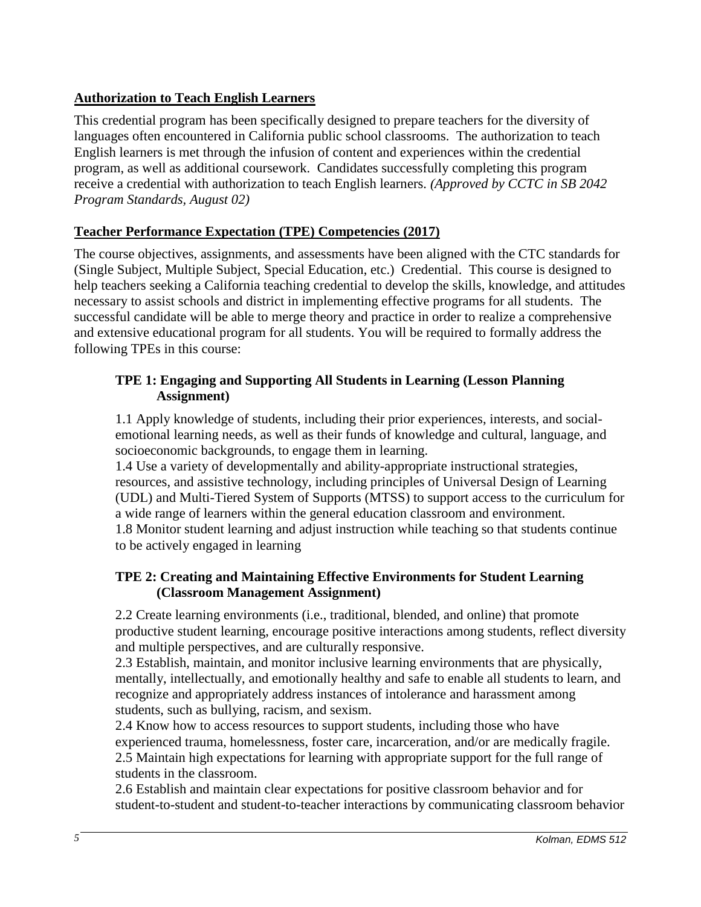# **Authorization to Teach English Learners**

This credential program has been specifically designed to prepare teachers for the diversity of languages often encountered in California public school classrooms. The authorization to teach English learners is met through the infusion of content and experiences within the credential program, as well as additional coursework. Candidates successfully completing this program receive a credential with authorization to teach English learners. *(Approved by CCTC in SB 2042 Program Standards, August 02)*

## **Teacher Performance Expectation (TPE) Competencies (2017)**

The course objectives, assignments, and assessments have been aligned with the CTC standards for (Single Subject, Multiple Subject, Special Education, etc.) Credential. This course is designed to help teachers seeking a California teaching credential to develop the skills, knowledge, and attitudes necessary to assist schools and district in implementing effective programs for all students. The successful candidate will be able to merge theory and practice in order to realize a comprehensive and extensive educational program for all students. You will be required to formally address the following TPEs in this course:

## **TPE 1: Engaging and Supporting All Students in Learning (Lesson Planning Assignment)**

1.1 Apply knowledge of students, including their prior experiences, interests, and socialemotional learning needs, as well as their funds of knowledge and cultural, language, and socioeconomic backgrounds, to engage them in learning.

1.4 Use a variety of developmentally and ability-appropriate instructional strategies, resources, and assistive technology, including principles of Universal Design of Learning (UDL) and Multi-Tiered System of Supports (MTSS) to support access to the curriculum for a wide range of learners within the general education classroom and environment. 1.8 Monitor student learning and adjust instruction while teaching so that students continue to be actively engaged in learning

## **TPE 2: Creating and Maintaining Effective Environments for Student Learning (Classroom Management Assignment)**

2.2 Create learning environments (i.e., traditional, blended, and online) that promote productive student learning, encourage positive interactions among students, reflect diversity and multiple perspectives, and are culturally responsive.

2.3 Establish, maintain, and monitor inclusive learning environments that are physically, mentally, intellectually, and emotionally healthy and safe to enable all students to learn, and recognize and appropriately address instances of intolerance and harassment among students, such as bullying, racism, and sexism.

2.4 Know how to access resources to support students, including those who have experienced trauma, homelessness, foster care, incarceration, and/or are medically fragile. 2.5 Maintain high expectations for learning with appropriate support for the full range of students in the classroom.

2.6 Establish and maintain clear expectations for positive classroom behavior and for student-to-student and student-to-teacher interactions by communicating classroom behavior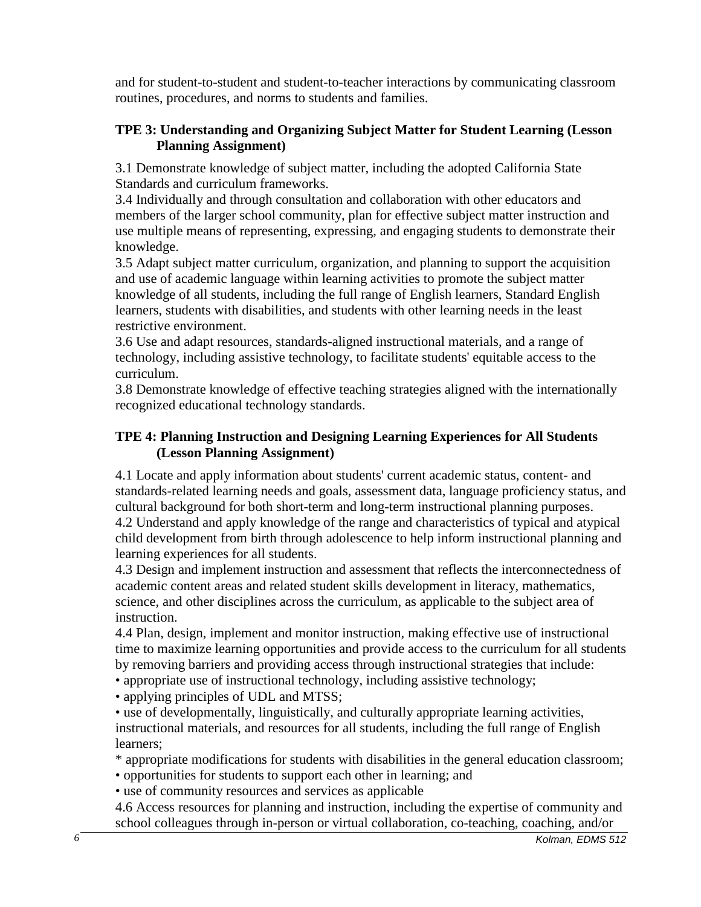and for student-to-student and student-to-teacher interactions by communicating classroom routines, procedures, and norms to students and families.

# **TPE 3: Understanding and Organizing Subject Matter for Student Learning (Lesson Planning Assignment)**

3.1 Demonstrate knowledge of subject matter, including the adopted California State Standards and curriculum frameworks.

3.4 Individually and through consultation and collaboration with other educators and members of the larger school community, plan for effective subject matter instruction and use multiple means of representing, expressing, and engaging students to demonstrate their knowledge.

3.5 Adapt subject matter curriculum, organization, and planning to support the acquisition and use of academic language within learning activities to promote the subject matter knowledge of all students, including the full range of English learners, Standard English learners, students with disabilities, and students with other learning needs in the least restrictive environment.

3.6 Use and adapt resources, standards-aligned instructional materials, and a range of technology, including assistive technology, to facilitate students' equitable access to the curriculum.

3.8 Demonstrate knowledge of effective teaching strategies aligned with the internationally recognized educational technology standards.

## **TPE 4: Planning Instruction and Designing Learning Experiences for All Students (Lesson Planning Assignment)**

4.1 Locate and apply information about students' current academic status, content- and standards-related learning needs and goals, assessment data, language proficiency status, and cultural background for both short-term and long-term instructional planning purposes. 4.2 Understand and apply knowledge of the range and characteristics of typical and atypical child development from birth through adolescence to help inform instructional planning and learning experiences for all students.

4.3 Design and implement instruction and assessment that reflects the interconnectedness of academic content areas and related student skills development in literacy, mathematics, science, and other disciplines across the curriculum, as applicable to the subject area of instruction.

4.4 Plan, design, implement and monitor instruction, making effective use of instructional time to maximize learning opportunities and provide access to the curriculum for all students by removing barriers and providing access through instructional strategies that include:

• appropriate use of instructional technology, including assistive technology;

• applying principles of UDL and MTSS;

• use of developmentally, linguistically, and culturally appropriate learning activities, instructional materials, and resources for all students, including the full range of English learners;

\* appropriate modifications for students with disabilities in the general education classroom;

- opportunities for students to support each other in learning; and
- use of community resources and services as applicable

4.6 Access resources for planning and instruction, including the expertise of community and school colleagues through in-person or virtual collaboration, co-teaching, coaching, and/or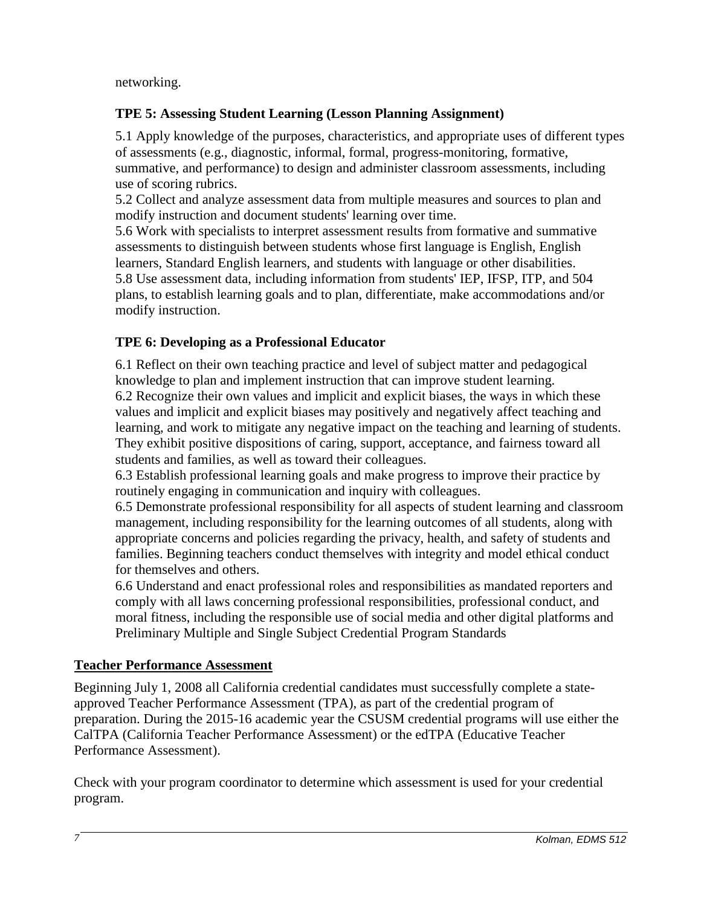networking.

# **TPE 5: Assessing Student Learning (Lesson Planning Assignment)**

5.1 Apply knowledge of the purposes, characteristics, and appropriate uses of different types of assessments (e.g., diagnostic, informal, formal, progress-monitoring, formative, summative, and performance) to design and administer classroom assessments, including use of scoring rubrics.

5.2 Collect and analyze assessment data from multiple measures and sources to plan and modify instruction and document students' learning over time.

5.6 Work with specialists to interpret assessment results from formative and summative assessments to distinguish between students whose first language is English, English learners, Standard English learners, and students with language or other disabilities. 5.8 Use assessment data, including information from students' IEP, IFSP, ITP, and 504 plans, to establish learning goals and to plan, differentiate, make accommodations and/or modify instruction.

# **TPE 6: Developing as a Professional Educator**

6.1 Reflect on their own teaching practice and level of subject matter and pedagogical knowledge to plan and implement instruction that can improve student learning. 6.2 Recognize their own values and implicit and explicit biases, the ways in which these values and implicit and explicit biases may positively and negatively affect teaching and learning, and work to mitigate any negative impact on the teaching and learning of students. They exhibit positive dispositions of caring, support, acceptance, and fairness toward all students and families, as well as toward their colleagues.

6.3 Establish professional learning goals and make progress to improve their practice by routinely engaging in communication and inquiry with colleagues.

6.5 Demonstrate professional responsibility for all aspects of student learning and classroom management, including responsibility for the learning outcomes of all students, along with appropriate concerns and policies regarding the privacy, health, and safety of students and families. Beginning teachers conduct themselves with integrity and model ethical conduct for themselves and others.

6.6 Understand and enact professional roles and responsibilities as mandated reporters and comply with all laws concerning professional responsibilities, professional conduct, and moral fitness, including the responsible use of social media and other digital platforms and Preliminary Multiple and Single Subject Credential Program Standards

## **Teacher Performance Assessment**

Beginning July 1, 2008 all California credential candidates must successfully complete a stateapproved Teacher Performance Assessment (TPA), as part of the credential program of preparation. During the 2015-16 academic year the CSUSM credential programs will use either the CalTPA (California Teacher Performance Assessment) or the edTPA (Educative Teacher Performance Assessment).

Check with your program coordinator to determine which assessment is used for your credential program.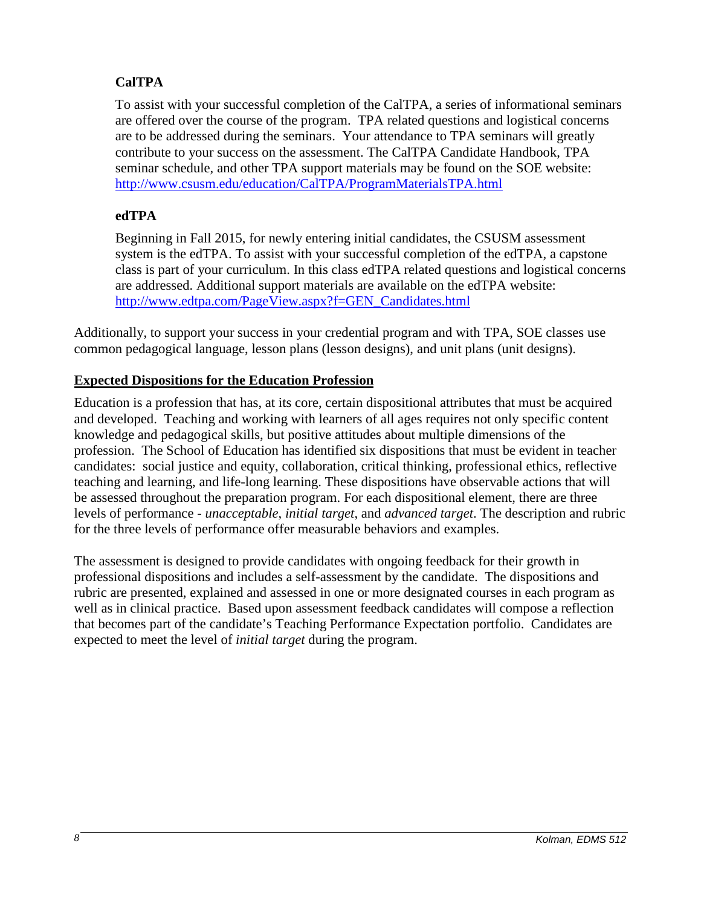# **CalTPA**

To assist with your successful completion of the CalTPA, a series of informational seminars are offered over the course of the program. TPA related questions and logistical concerns are to be addressed during the seminars. Your attendance to TPA seminars will greatly contribute to your success on the assessment. The CalTPA Candidate Handbook, TPA seminar schedule, and other TPA support materials may be found on the SOE website: <http://www.csusm.edu/education/CalTPA/ProgramMaterialsTPA.html>

# **edTPA**

Beginning in Fall 2015, for newly entering initial candidates, the CSUSM assessment system is the edTPA. To assist with your successful completion of the edTPA, a capstone class is part of your curriculum. In this class edTPA related questions and logistical concerns are addressed. Additional support materials are available on the edTPA website: [http://www.edtpa.com/PageView.aspx?f=GEN\\_Candidates.html](http://www.edtpa.com/PageView.aspx?f=GEN_Candidates.html)

Additionally, to support your success in your credential program and with TPA, SOE classes use common pedagogical language, lesson plans (lesson designs), and unit plans (unit designs).

## **Expected Dispositions for the Education Profession**

Education is a profession that has, at its core, certain dispositional attributes that must be acquired and developed. Teaching and working with learners of all ages requires not only specific content knowledge and pedagogical skills, but positive attitudes about multiple dimensions of the profession. The School of Education has identified six dispositions that must be evident in teacher candidates: social justice and equity, collaboration, critical thinking, professional ethics, reflective teaching and learning, and life-long learning. These dispositions have observable actions that will be assessed throughout the preparation program. For each dispositional element, there are three levels of performance - *unacceptable*, *initial target*, and *advanced target*. The description and rubric for the three levels of performance offer measurable behaviors and examples.

The assessment is designed to provide candidates with ongoing feedback for their growth in professional dispositions and includes a self-assessment by the candidate. The dispositions and rubric are presented, explained and assessed in one or more designated courses in each program as well as in clinical practice. Based upon assessment feedback candidates will compose a reflection that becomes part of the candidate's Teaching Performance Expectation portfolio. Candidates are expected to meet the level of *initial target* during the program.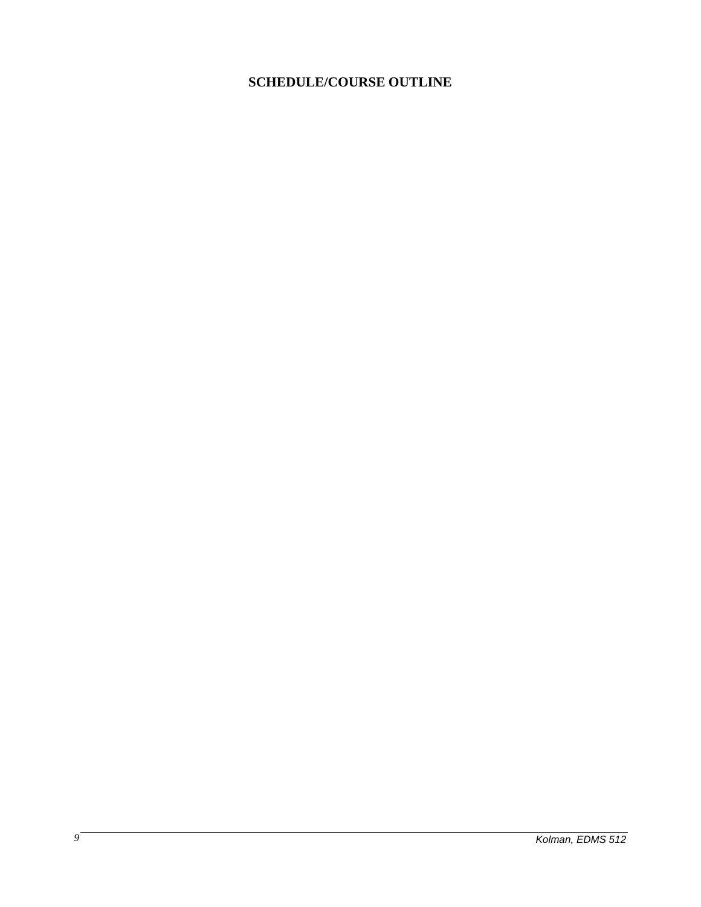# **SCHEDULE/COURSE OUTLINE**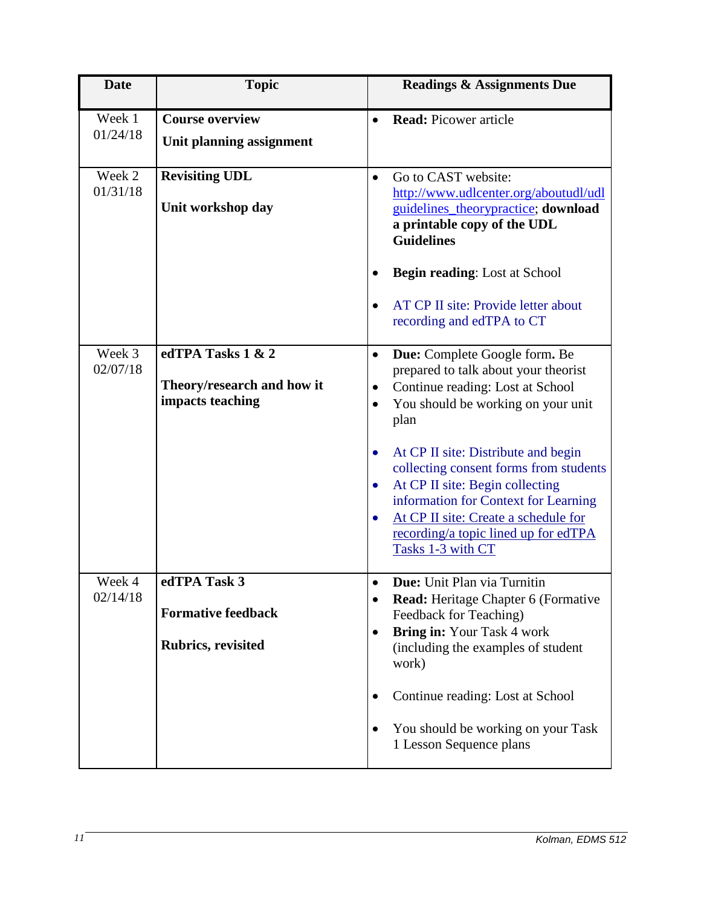| <b>Date</b>        | <b>Topic</b>                                                           | <b>Readings &amp; Assignments Due</b>                                                                                                                                                                                                                                                   |
|--------------------|------------------------------------------------------------------------|-----------------------------------------------------------------------------------------------------------------------------------------------------------------------------------------------------------------------------------------------------------------------------------------|
| Week 1<br>01/24/18 | <b>Course overview</b><br>Unit planning assignment                     | <b>Read: Picower article</b>                                                                                                                                                                                                                                                            |
| Week 2<br>01/31/18 | <b>Revisiting UDL</b><br>Unit workshop day                             | Go to CAST website:<br>$\bullet$<br>http://www.udlcenter.org/aboutudl/udl<br>guidelines_theorypractice; download<br>a printable copy of the UDL<br><b>Guidelines</b>                                                                                                                    |
|                    |                                                                        | <b>Begin reading:</b> Lost at School<br>AT CP II site: Provide letter about<br>$\bullet$<br>recording and edTPA to CT                                                                                                                                                                   |
| Week 3<br>02/07/18 | edTPA Tasks 1 & 2<br>Theory/research and how it<br>impacts teaching    | Due: Complete Google form. Be<br>$\bullet$<br>prepared to talk about your theorist<br>Continue reading: Lost at School<br>٠<br>You should be working on your unit<br>$\bullet$<br>plan                                                                                                  |
|                    |                                                                        | At CP II site: Distribute and begin<br>$\bullet$<br>collecting consent forms from students<br>At CP II site: Begin collecting<br>$\bullet$<br>information for Context for Learning<br>At CP II site: Create a schedule for<br>recording/a topic lined up for edTPA<br>Tasks 1-3 with CT |
| Week 4<br>02/14/18 | edTPA Task 3<br><b>Formative feedback</b><br><b>Rubrics, revisited</b> | <b>Due:</b> Unit Plan via Turnitin<br><b>Read:</b> Heritage Chapter 6 (Formative<br>$\bullet$<br>Feedback for Teaching)<br><b>Bring in: Your Task 4 work</b><br>$\bullet$<br>(including the examples of student<br>work)                                                                |
|                    |                                                                        | Continue reading: Lost at School<br>You should be working on your Task<br>1 Lesson Sequence plans                                                                                                                                                                                       |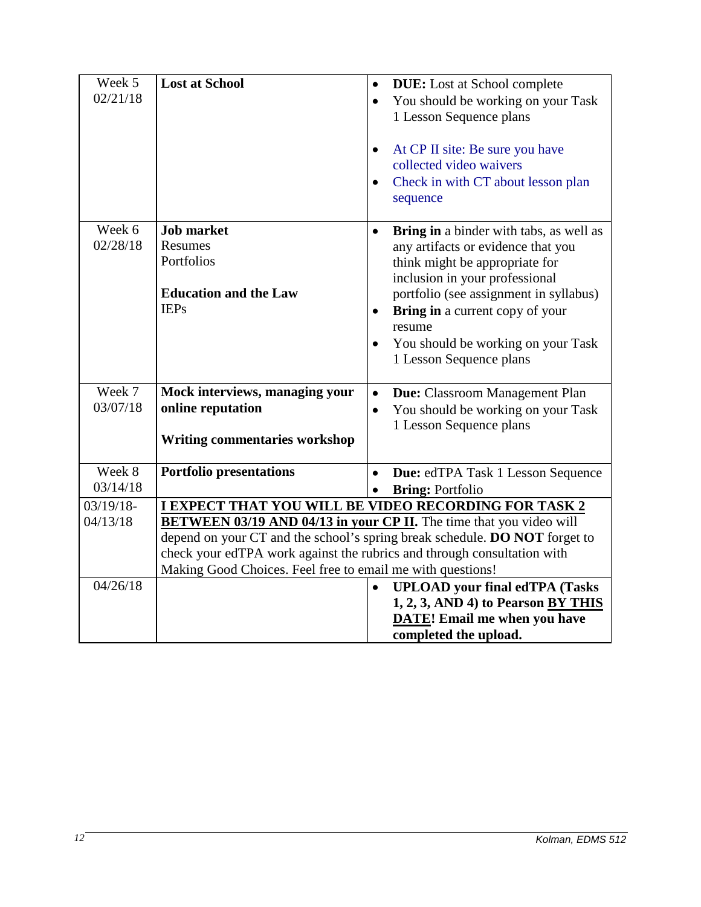| Week 5       | <b>Lost at School</b>                                                      | $\bullet$ | <b>DUE:</b> Lost at School complete     |  |
|--------------|----------------------------------------------------------------------------|-----------|-----------------------------------------|--|
| 02/21/18     |                                                                            |           | You should be working on your Task      |  |
|              |                                                                            |           | 1 Lesson Sequence plans                 |  |
|              |                                                                            |           |                                         |  |
|              |                                                                            |           |                                         |  |
|              |                                                                            | $\bullet$ | At CP II site: Be sure you have         |  |
|              |                                                                            |           | collected video waivers                 |  |
|              |                                                                            | $\bullet$ | Check in with CT about lesson plan      |  |
|              |                                                                            |           | sequence                                |  |
|              |                                                                            |           |                                         |  |
| Week 6       | <b>Job market</b>                                                          | $\bullet$ | Bring in a binder with tabs, as well as |  |
| 02/28/18     | Resumes                                                                    |           | any artifacts or evidence that you      |  |
|              | Portfolios                                                                 |           | think might be appropriate for          |  |
|              |                                                                            |           | inclusion in your professional          |  |
|              | <b>Education and the Law</b>                                               |           | portfolio (see assignment in syllabus)  |  |
|              | <b>IEPs</b>                                                                | $\bullet$ | <b>Bring in a current copy of your</b>  |  |
|              |                                                                            |           | resume                                  |  |
|              |                                                                            | $\bullet$ | You should be working on your Task      |  |
|              |                                                                            |           | 1 Lesson Sequence plans                 |  |
|              |                                                                            |           |                                         |  |
| Week 7       | Mock interviews, managing your                                             |           |                                         |  |
| 03/07/18     | online reputation                                                          | $\bullet$ | <b>Due:</b> Classroom Management Plan   |  |
|              |                                                                            | $\bullet$ | You should be working on your Task      |  |
|              |                                                                            |           | 1 Lesson Sequence plans                 |  |
|              | <b>Writing commentaries workshop</b>                                       |           |                                         |  |
|              |                                                                            |           |                                         |  |
| Week 8       | <b>Portfolio presentations</b>                                             | $\bullet$ | Due: edTPA Task 1 Lesson Sequence       |  |
| 03/14/18     |                                                                            |           | <b>Bring: Portfolio</b>                 |  |
| $03/19/18$ - | <b>I EXPECT THAT YOU WILL BE VIDEO RECORDING FOR TASK 2</b>                |           |                                         |  |
| 04/13/18     | <b>BETWEEN 03/19 AND 04/13 in your CP II.</b> The time that you video will |           |                                         |  |
|              | depend on your CT and the school's spring break schedule. DO NOT forget to |           |                                         |  |
|              | check your edTPA work against the rubrics and through consultation with    |           |                                         |  |
|              | Making Good Choices. Feel free to email me with questions!                 |           |                                         |  |
| 04/26/18     |                                                                            | $\bullet$ | <b>UPLOAD</b> your final edTPA (Tasks   |  |
|              |                                                                            |           | 1, 2, 3, AND 4) to Pearson BY THIS      |  |
|              |                                                                            |           | <b>DATE!</b> Email me when you have     |  |
|              |                                                                            |           | completed the upload.                   |  |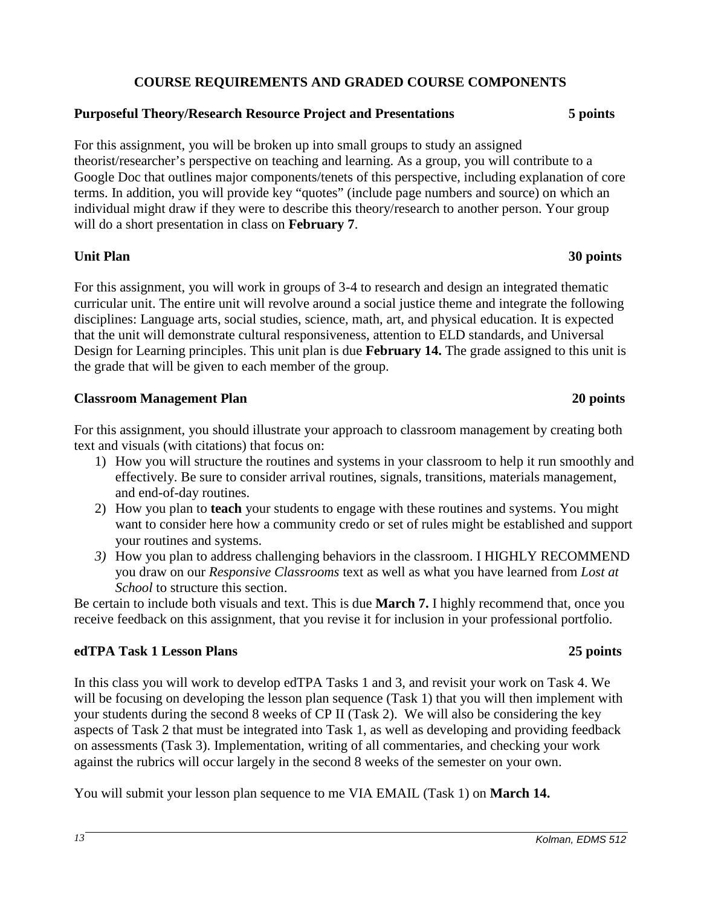# **COURSE REQUIREMENTS AND GRADED COURSE COMPONENTS**

## **Purposeful Theory/Research Resource Project and Presentations 5 points**

For this assignment, you will be broken up into small groups to study an assigned theorist/researcher's perspective on teaching and learning. As a group, you will contribute to a Google Doc that outlines major components/tenets of this perspective, including explanation of core terms. In addition, you will provide key "quotes" (include page numbers and source) on which an individual might draw if they were to describe this theory/research to another person. Your group will do a short presentation in class on **February 7**.

### **Unit Plan 30 points**

For this assignment, you will work in groups of 3-4 to research and design an integrated thematic curricular unit. The entire unit will revolve around a social justice theme and integrate the following disciplines: Language arts, social studies, science, math, art, and physical education. It is expected that the unit will demonstrate cultural responsiveness, attention to ELD standards, and Universal Design for Learning principles. This unit plan is due **February 14.** The grade assigned to this unit is the grade that will be given to each member of the group.

### **Classroom Management Plan 20 points**

For this assignment, you should illustrate your approach to classroom management by creating both text and visuals (with citations) that focus on:

- 1) How you will structure the routines and systems in your classroom to help it run smoothly and effectively. Be sure to consider arrival routines, signals, transitions, materials management, and end-of-day routines.
- 2) How you plan to **teach** your students to engage with these routines and systems. You might want to consider here how a community credo or set of rules might be established and support your routines and systems.
- *3)* How you plan to address challenging behaviors in the classroom. I HIGHLY RECOMMEND you draw on our *Responsive Classrooms* text as well as what you have learned from *Lost at School* to structure this section.

Be certain to include both visuals and text. This is due **March 7.** I highly recommend that, once you receive feedback on this assignment, that you revise it for inclusion in your professional portfolio.

## **edTPA Task 1 Lesson Plans 25 points**

In this class you will work to develop edTPA Tasks 1 and 3, and revisit your work on Task 4. We will be focusing on developing the lesson plan sequence (Task 1) that you will then implement with your students during the second 8 weeks of CP II (Task 2). We will also be considering the key aspects of Task 2 that must be integrated into Task 1, as well as developing and providing feedback on assessments (Task 3). Implementation, writing of all commentaries, and checking your work against the rubrics will occur largely in the second 8 weeks of the semester on your own.

You will submit your lesson plan sequence to me VIA EMAIL (Task 1) on **March 14.**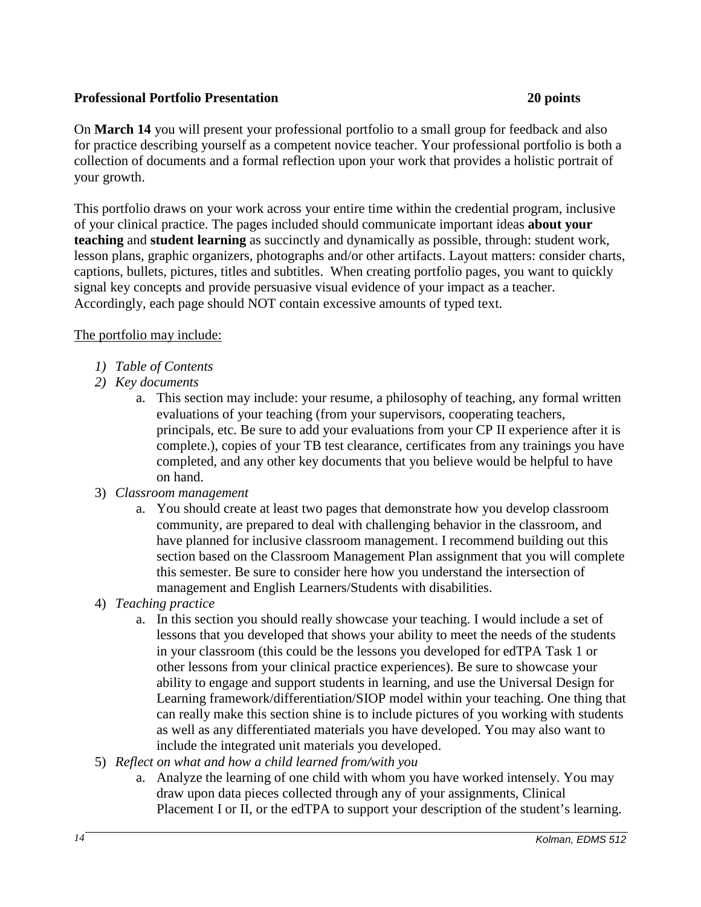## **Professional Portfolio Presentation 20 points**

On **March 14** you will present your professional portfolio to a small group for feedback and also for practice describing yourself as a competent novice teacher. Your professional portfolio is both a collection of documents and a formal reflection upon your work that provides a holistic portrait of your growth.

This portfolio draws on your work across your entire time within the credential program, inclusive of your clinical practice. The pages included should communicate important ideas **about your teaching** and **student learning** as succinctly and dynamically as possible, through: student work, lesson plans, graphic organizers, photographs and/or other artifacts. Layout matters: consider charts, captions, bullets, pictures, titles and subtitles. When creating portfolio pages, you want to quickly signal key concepts and provide persuasive visual evidence of your impact as a teacher. Accordingly, each page should NOT contain excessive amounts of typed text.

## The portfolio may include:

- *1) Table of Contents*
- *2) Key documents*
	- a. This section may include: your resume, a philosophy of teaching, any formal written evaluations of your teaching (from your supervisors, cooperating teachers, principals, etc. Be sure to add your evaluations from your CP II experience after it is complete.), copies of your TB test clearance, certificates from any trainings you have completed, and any other key documents that you believe would be helpful to have on hand.
- 3) *Classroom management*
	- a. You should create at least two pages that demonstrate how you develop classroom community, are prepared to deal with challenging behavior in the classroom, and have planned for inclusive classroom management. I recommend building out this section based on the Classroom Management Plan assignment that you will complete this semester. Be sure to consider here how you understand the intersection of management and English Learners/Students with disabilities.
- 4) *Teaching practice*
	- a. In this section you should really showcase your teaching. I would include a set of lessons that you developed that shows your ability to meet the needs of the students in your classroom (this could be the lessons you developed for edTPA Task 1 or other lessons from your clinical practice experiences). Be sure to showcase your ability to engage and support students in learning, and use the Universal Design for Learning framework/differentiation/SIOP model within your teaching. One thing that can really make this section shine is to include pictures of you working with students as well as any differentiated materials you have developed. You may also want to include the integrated unit materials you developed.
- 5) *Reflect on what and how a child learned from/with you*
	- a. Analyze the learning of one child with whom you have worked intensely. You may draw upon data pieces collected through any of your assignments, Clinical Placement I or II, or the edTPA to support your description of the student's learning.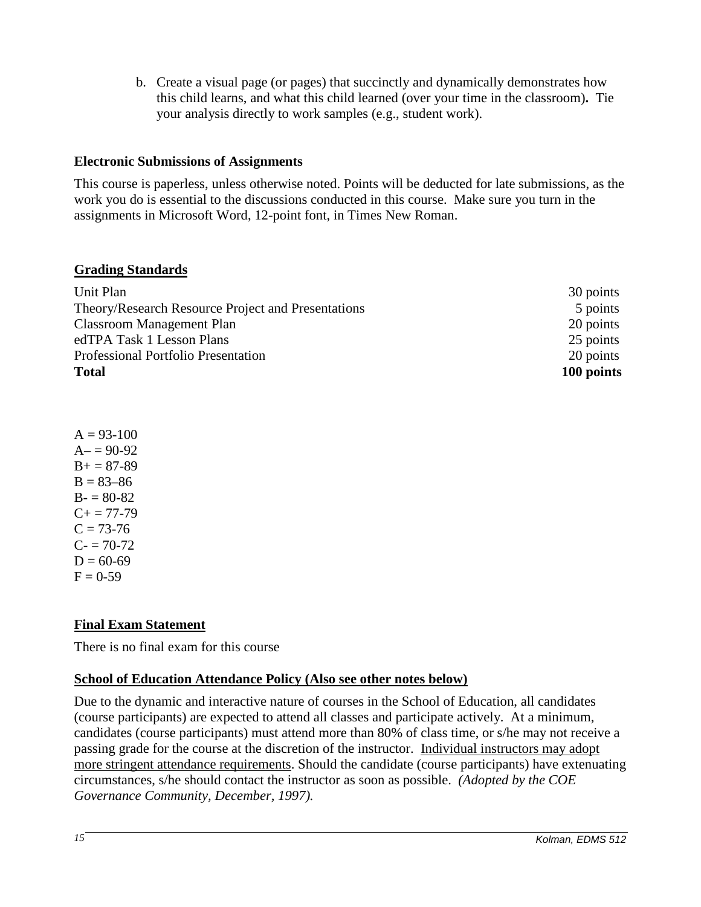b. Create a visual page (or pages) that succinctly and dynamically demonstrates how this child learns, and what this child learned (over your time in the classroom)**.** Tie your analysis directly to work samples (e.g., student work).

## **Electronic Submissions of Assignments**

This course is paperless, unless otherwise noted. Points will be deducted for late submissions, as the work you do is essential to the discussions conducted in this course. Make sure you turn in the assignments in Microsoft Word, 12-point font, in Times New Roman.

### **Grading Standards**

| Unit Plan                                          | 30 points  |
|----------------------------------------------------|------------|
| Theory/Research Resource Project and Presentations | 5 points   |
| <b>Classroom Management Plan</b>                   | 20 points  |
| edTPA Task 1 Lesson Plans                          | 25 points  |
| Professional Portfolio Presentation                | 20 points  |
| <b>Total</b>                                       | 100 points |

 $A = 93-100$  $A = 90-92$  $B+=87-89$  $B = 83 - 86$  $B - 80 - 82$  $C_{+}$  = 77-79  $C = 73-76$  $C = 70-72$  $D = 60-69$  $F = 0.59$ 

# **Final Exam Statement**

There is no final exam for this course

## **School of Education Attendance Policy (Also see other notes below)**

Due to the dynamic and interactive nature of courses in the School of Education, all candidates (course participants) are expected to attend all classes and participate actively. At a minimum, candidates (course participants) must attend more than 80% of class time, or s/he may not receive a passing grade for the course at the discretion of the instructor. Individual instructors may adopt more stringent attendance requirements. Should the candidate (course participants) have extenuating circumstances, s/he should contact the instructor as soon as possible. *(Adopted by the COE Governance Community, December, 1997).*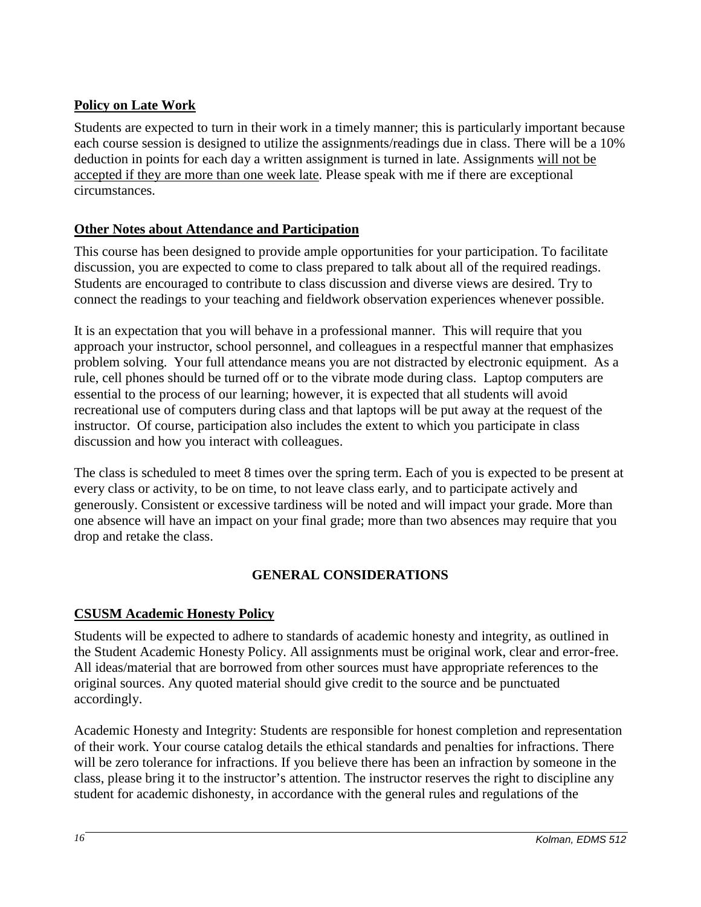# **Policy on Late Work**

Students are expected to turn in their work in a timely manner; this is particularly important because each course session is designed to utilize the assignments/readings due in class. There will be a 10% deduction in points for each day a written assignment is turned in late. Assignments will not be accepted if they are more than one week late. Please speak with me if there are exceptional circumstances.

# **Other Notes about Attendance and Participation**

This course has been designed to provide ample opportunities for your participation. To facilitate discussion, you are expected to come to class prepared to talk about all of the required readings. Students are encouraged to contribute to class discussion and diverse views are desired. Try to connect the readings to your teaching and fieldwork observation experiences whenever possible.

It is an expectation that you will behave in a professional manner. This will require that you approach your instructor, school personnel, and colleagues in a respectful manner that emphasizes problem solving. Your full attendance means you are not distracted by electronic equipment. As a rule, cell phones should be turned off or to the vibrate mode during class. Laptop computers are essential to the process of our learning; however, it is expected that all students will avoid recreational use of computers during class and that laptops will be put away at the request of the instructor. Of course, participation also includes the extent to which you participate in class discussion and how you interact with colleagues.

The class is scheduled to meet 8 times over the spring term. Each of you is expected to be present at every class or activity, to be on time, to not leave class early, and to participate actively and generously. Consistent or excessive tardiness will be noted and will impact your grade. More than one absence will have an impact on your final grade; more than two absences may require that you drop and retake the class.

# **GENERAL CONSIDERATIONS**

# **CSUSM Academic Honesty Policy**

Students will be expected to adhere to standards of academic honesty and integrity, as outlined in the Student Academic Honesty Policy. All assignments must be original work, clear and error-free. All ideas/material that are borrowed from other sources must have appropriate references to the original sources. Any quoted material should give credit to the source and be punctuated accordingly.

Academic Honesty and Integrity: Students are responsible for honest completion and representation of their work. Your course catalog details the ethical standards and penalties for infractions. There will be zero tolerance for infractions. If you believe there has been an infraction by someone in the class, please bring it to the instructor's attention. The instructor reserves the right to discipline any student for academic dishonesty, in accordance with the general rules and regulations of the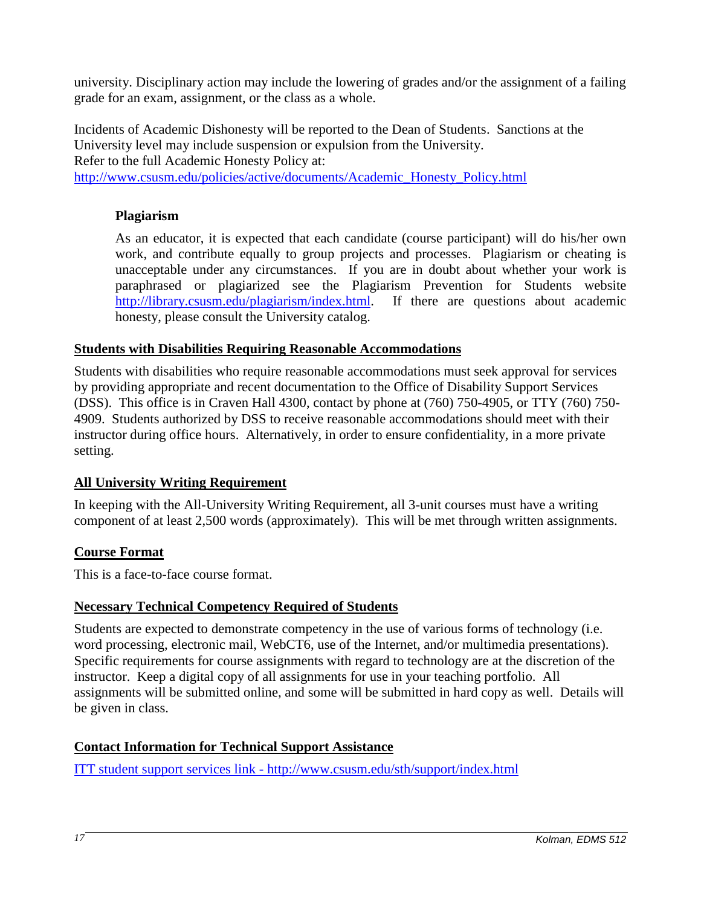university. Disciplinary action may include the lowering of grades and/or the assignment of a failing grade for an exam, assignment, or the class as a whole.

Incidents of Academic Dishonesty will be reported to the Dean of Students. Sanctions at the University level may include suspension or expulsion from the University. Refer to the full Academic Honesty Policy at: [http://www.csusm.edu/policies/active/documents/Academic\\_Honesty\\_Policy.html](http://www.csusm.edu/policies/active/documents/Academic_Honesty_Policy.html)

## **Plagiarism**

As an educator, it is expected that each candidate (course participant) will do his/her own work, and contribute equally to group projects and processes. Plagiarism or cheating is unacceptable under any circumstances. If you are in doubt about whether your work is paraphrased or plagiarized see the Plagiarism Prevention for Students website [http://library.csusm.edu/plagiarism/index.html.](http://library.csusm.edu/plagiarism/index.html) If there are questions about academic honesty, please consult the University catalog.

## **Students with Disabilities Requiring Reasonable Accommodations**

Students with disabilities who require reasonable accommodations must seek approval for services by providing appropriate and recent documentation to the Office of Disability Support Services (DSS). This office is in Craven Hall 4300, contact by phone at (760) 750-4905, or TTY (760) 750- 4909. Students authorized by DSS to receive reasonable accommodations should meet with their instructor during office hours. Alternatively, in order to ensure confidentiality, in a more private setting.

## **All University Writing Requirement**

In keeping with the All-University Writing Requirement, all 3-unit courses must have a writing component of at least 2,500 words (approximately). This will be met through written assignments.

# **Course Format**

This is a face-to-face course format.

## **Necessary Technical Competency Required of Students**

Students are expected to demonstrate competency in the use of various forms of technology (i.e. word processing, electronic mail, WebCT6, use of the Internet, and/or multimedia presentations). Specific requirements for course assignments with regard to technology are at the discretion of the instructor. Keep a digital copy of all assignments for use in your teaching portfolio. All assignments will be submitted online, and some will be submitted in hard copy as well. Details will be given in class.

## **Contact Information for Technical Support Assistance**

ITT student support services link - http://www.csusm.edu/sth/support/index.html